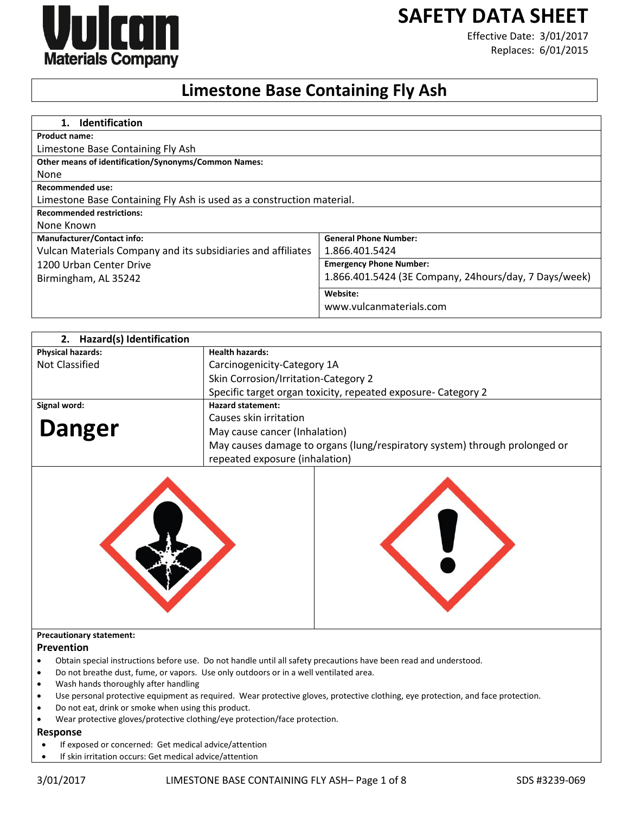# **SAFETY DATA SHEET**



Effective Date: 3/01/2017 Replaces: 6/01/2015

# **Limestone Base Containing Fly Ash**

| <b>Identification</b><br>$1_{\cdot}$                                  |                                                       |
|-----------------------------------------------------------------------|-------------------------------------------------------|
| <b>Product name:</b>                                                  |                                                       |
| Limestone Base Containing Fly Ash                                     |                                                       |
| Other means of identification/Synonyms/Common Names:                  |                                                       |
| None                                                                  |                                                       |
| Recommended use:                                                      |                                                       |
| Limestone Base Containing Fly Ash is used as a construction material. |                                                       |
| <b>Recommended restrictions:</b>                                      |                                                       |
| None Known                                                            |                                                       |
| <b>Manufacturer/Contact info:</b>                                     | <b>General Phone Number:</b>                          |
| Vulcan Materials Company and its subsidiaries and affiliates          | 1.866.401.5424                                        |
| 1200 Urban Center Drive                                               | <b>Emergency Phone Number:</b>                        |
| Birmingham, AL 35242                                                  | 1.866.401.5424 (3E Company, 24hours/day, 7 Days/week) |
|                                                                       | Website:                                              |
|                                                                       | www.vulcanmaterials.com                               |

| 2. Hazard(s) Identification |                                                                            |
|-----------------------------|----------------------------------------------------------------------------|
| <b>Physical hazards:</b>    | <b>Health hazards:</b>                                                     |
| Not Classified              | Carcinogenicity-Category 1A                                                |
|                             | Skin Corrosion/Irritation-Category 2                                       |
|                             | Specific target organ toxicity, repeated exposure- Category 2              |
| Signal word:                | <b>Hazard statement:</b>                                                   |
|                             | Causes skin irritation                                                     |
| <b>Danger</b>               | May cause cancer (Inhalation)                                              |
|                             | May causes damage to organs (lung/respiratory system) through prolonged or |
|                             | repeated exposure (inhalation)                                             |





#### **Precautionary statement:**

#### **Prevention**

- Obtain special instructions before use. Do not handle until all safety precautions have been read and understood.
- Do not breathe dust, fume, or vapors. Use only outdoors or in a well ventilated area.
- Wash hands thoroughly after handling
- Use personal protective equipment as required. Wear protective gloves, protective clothing, eye protection, and face protection.
- Do not eat, drink or smoke when using this product.
- Wear protective gloves/protective clothing/eye protection/face protection.

# **Response**

- If exposed or concerned: Get medical advice/attention
- If skin irritation occurs: Get medical advice/attention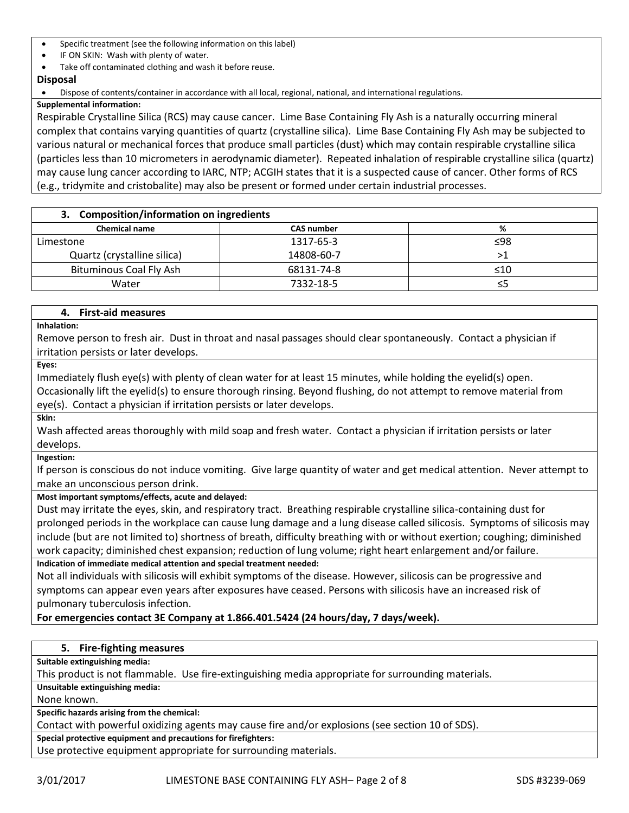- Specific treatment (see the following information on this label)
- IF ON SKIN: Wash with plenty of water.
- Take off contaminated clothing and wash it before reuse.
- **Disposal**

## Dispose of contents/container in accordance with all local, regional, national, and international regulations.

## **Supplemental information:**

Respirable Crystalline Silica (RCS) may cause cancer. Lime Base Containing Fly Ash is a naturally occurring mineral complex that contains varying quantities of quartz (crystalline silica). Lime Base Containing Fly Ash may be subjected to various natural or mechanical forces that produce small particles (dust) which may contain respirable crystalline silica (particles less than 10 micrometers in aerodynamic diameter). Repeated inhalation of respirable crystalline silica (quartz) may cause lung cancer according to IARC, NTP; ACGIH states that it is a suspected cause of cancer. Other forms of RCS (e.g., tridymite and cristobalite) may also be present or formed under certain industrial processes.

# **3. Composition/information on ingredients**

| <b>Chemical name</b>        | <b>CAS number</b> | %   |
|-----------------------------|-------------------|-----|
| Limestone                   | 1317-65-3         | ≤98 |
| Quartz (crystalline silica) | 14808-60-7        |     |
| Bituminous Coal Fly Ash     | 68131-74-8        | ≤10 |
| Water                       | 7332-18-5         | ≤5  |

# **4. First-aid measures**

**Inhalation:**

Remove person to fresh air. Dust in throat and nasal passages should clear spontaneously. Contact a physician if irritation persists or later develops.

**Eyes:**

Immediately flush eye(s) with plenty of clean water for at least 15 minutes, while holding the eyelid(s) open. Occasionally lift the eyelid(s) to ensure thorough rinsing. Beyond flushing, do not attempt to remove material from eye(s). Contact a physician if irritation persists or later develops.

**Skin:**

Wash affected areas thoroughly with mild soap and fresh water. Contact a physician if irritation persists or later develops.

**Ingestion:**

If person is conscious do not induce vomiting. Give large quantity of water and get medical attention. Never attempt to make an unconscious person drink.

# **Most important symptoms/effects, acute and delayed:**

Dust may irritate the eyes, skin, and respiratory tract. Breathing respirable crystalline silica-containing dust for prolonged periods in the workplace can cause lung damage and a lung disease called silicosis. Symptoms of silicosis may include (but are not limited to) shortness of breath, difficulty breathing with or without exertion; coughing; diminished work capacity; diminished chest expansion; reduction of lung volume; right heart enlargement and/or failure. **Indication of immediate medical attention and special treatment needed:**

Not all individuals with silicosis will exhibit symptoms of the disease. However, silicosis can be progressive and symptoms can appear even years after exposures have ceased. Persons with silicosis have an increased risk of pulmonary tuberculosis infection.

# **For emergencies contact 3E Company at 1.866.401.5424 (24 hours/day, 7 days/week).**

# **5. Fire-fighting measures**

**Suitable extinguishing media:**

This product is not flammable. Use fire-extinguishing media appropriate for surrounding materials.

**Unsuitable extinguishing media:**

None known.

**Specific hazards arising from the chemical:**

Contact with powerful oxidizing agents may cause fire and/or explosions (see section 10 of SDS).

**Special protective equipment and precautions for firefighters:**

Use protective equipment appropriate for surrounding materials.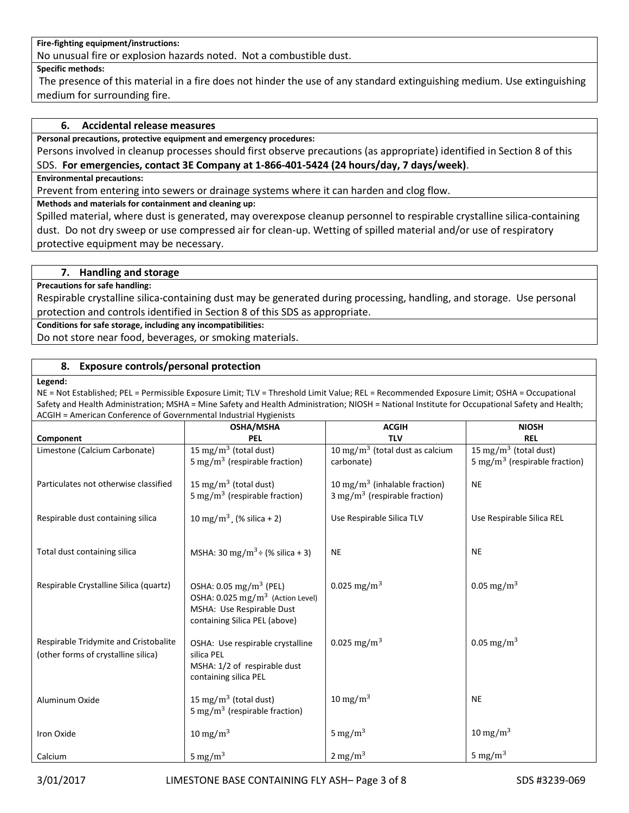## **Fire-fighting equipment/instructions:**

No unusual fire or explosion hazards noted. Not a combustible dust.

#### **Specific methods:**

The presence of this material in a fire does not hinder the use of any standard extinguishing medium. Use extinguishing medium for surrounding fire.

## **6. Accidental release measures**

**Personal precautions, protective equipment and emergency procedures:**

Persons involved in cleanup processes should first observe precautions (as appropriate) identified in Section 8 of this SDS. **For emergencies, contact 3E Company at 1-866-401-5424 (24 hours/day, 7 days/week)**.

#### **Environmental precautions:**

Prevent from entering into sewers or drainage systems where it can harden and clog flow.

## **Methods and materials for containment and cleaning up:**

Spilled material, where dust is generated, may overexpose cleanup personnel to respirable crystalline silica-containing dust. Do not dry sweep or use compressed air for clean-up. Wetting of spilled material and/or use of respiratory protective equipment may be necessary.

### **7. Handling and storage**

#### **Precautions for safe handling:**

Respirable crystalline silica-containing dust may be generated during processing, handling, and storage. Use personal protection and controls identified in Section 8 of this SDS as appropriate.

**Conditions for safe storage, including any incompatibilities:**

Do not store near food, beverages, or smoking materials.

## **8. Exposure controls/personal protection**

#### **Legend:**

NE = Not Established; PEL = Permissible Exposure Limit; TLV = Threshold Limit Value; REL = Recommended Exposure Limit; OSHA = Occupational Safety and Health Administration; MSHA = Mine Safety and Health Administration; NIOSH = National Institute for Occupational Safety and Health; ACGIH = American Conference of Governmental Industrial Hygienists

|                                                                              | OSHA/MSHA                                                                                                                                       | <b>ACGIH</b>                                                                          | <b>NIOSH</b>                                                                   |
|------------------------------------------------------------------------------|-------------------------------------------------------------------------------------------------------------------------------------------------|---------------------------------------------------------------------------------------|--------------------------------------------------------------------------------|
| Component                                                                    | <b>PEL</b>                                                                                                                                      | <b>TLV</b>                                                                            | <b>REL</b>                                                                     |
| Limestone (Calcium Carbonate)                                                | 15 mg/m <sup>3</sup> (total dust)<br>5 mg/m <sup>3</sup> (respirable fraction)                                                                  | 10 mg/m <sup>3</sup> (total dust as calcium<br>carbonate)                             | 15 mg/m <sup>3</sup> (total dust)<br>5 mg/m <sup>3</sup> (respirable fraction) |
| Particulates not otherwise classified                                        | 15 mg/m <sup>3</sup> (total dust)<br>5 mg/m <sup>3</sup> (respirable fraction)                                                                  | 10 mg/m <sup>3</sup> (inhalable fraction)<br>$3 \text{ mg/m}^3$ (respirable fraction) | <b>NE</b>                                                                      |
| Respirable dust containing silica                                            | 10 mg/m <sup>3</sup> (% silica + 2)                                                                                                             | Use Respirable Silica TLV                                                             | Use Respirable Silica REL                                                      |
| Total dust containing silica                                                 | MSHA: 30 mg/m <sup>3</sup> ÷ (% silica + 3)                                                                                                     | <b>NE</b>                                                                             | <b>NE</b>                                                                      |
| Respirable Crystalline Silica (quartz)                                       | OSHA: $0.05 \text{ mg/m}^3$ (PEL)<br>OSHA: 0.025 mg/m <sup>3</sup> (Action Level)<br>MSHA: Use Respirable Dust<br>containing Silica PEL (above) | 0.025 mg/m <sup>3</sup>                                                               | 0.05 mg/m <sup>3</sup>                                                         |
| Respirable Tridymite and Cristobalite<br>(other forms of crystalline silica) | OSHA: Use respirable crystalline<br>silica PEL<br>MSHA: 1/2 of respirable dust<br>containing silica PEL                                         | 0.025 mg/m <sup>3</sup>                                                               | 0.05 mg/m <sup>3</sup>                                                         |
| Aluminum Oxide                                                               | 15 mg/m <sup>3</sup> (total dust)<br>5 mg/m <sup>3</sup> (respirable fraction)                                                                  | $10 \text{ mg/m}^3$                                                                   | <b>NE</b>                                                                      |
| Iron Oxide                                                                   | $10 \text{ mg/m}^3$                                                                                                                             | 5 mg/m $^3$                                                                           | 10 mg/m <sup>3</sup>                                                           |
| Calcium                                                                      | 5 mg/m <sup>3</sup>                                                                                                                             | $2 \text{ mg/m}^3$                                                                    | 5 mg/m <sup>3</sup>                                                            |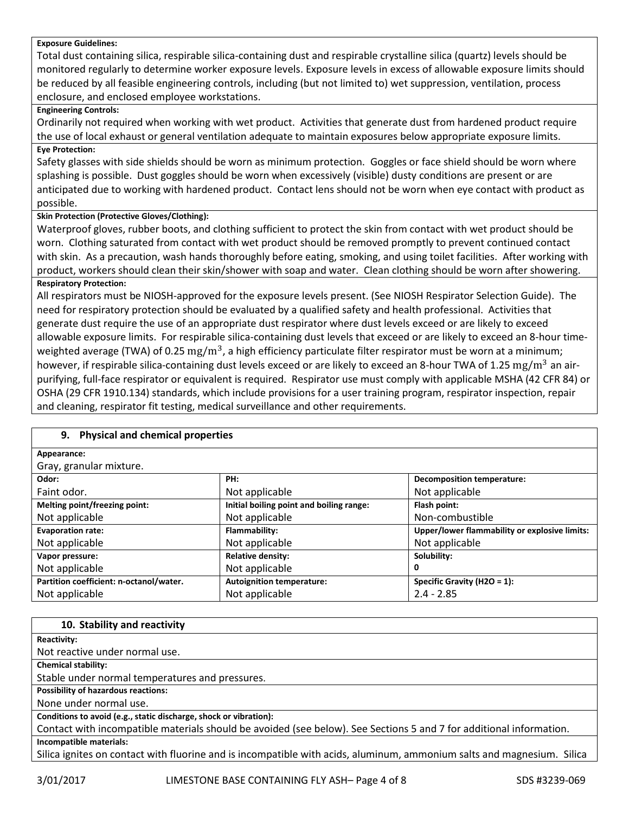#### **Exposure Guidelines:**

Total dust containing silica, respirable silica-containing dust and respirable crystalline silica (quartz) levels should be monitored regularly to determine worker exposure levels. Exposure levels in excess of allowable exposure limits should be reduced by all feasible engineering controls, including (but not limited to) wet suppression, ventilation, process enclosure, and enclosed employee workstations.

## **Engineering Controls:**

Ordinarily not required when working with wet product. Activities that generate dust from hardened product require the use of local exhaust or general ventilation adequate to maintain exposures below appropriate exposure limits.

# **Eye Protection:**

Safety glasses with side shields should be worn as minimum protection. Goggles or face shield should be worn where splashing is possible. Dust goggles should be worn when excessively (visible) dusty conditions are present or are anticipated due to working with hardened product. Contact lens should not be worn when eye contact with product as possible.

# **Skin Protection (Protective Gloves/Clothing):**

Waterproof gloves, rubber boots, and clothing sufficient to protect the skin from contact with wet product should be worn. Clothing saturated from contact with wet product should be removed promptly to prevent continued contact with skin. As a precaution, wash hands thoroughly before eating, smoking, and using toilet facilities. After working with product, workers should clean their skin/shower with soap and water. Clean clothing should be worn after showering. **Respiratory Protection:**

All respirators must be NIOSH-approved for the exposure levels present. (See NIOSH Respirator Selection Guide). The need for respiratory protection should be evaluated by a qualified safety and health professional. Activities that generate dust require the use of an appropriate dust respirator where dust levels exceed or are likely to exceed allowable exposure limits. For respirable silica-containing dust levels that exceed or are likely to exceed an 8-hour timeweighted average (TWA) of 0.25  $\rm mg/m^3$ , a high efficiency particulate filter respirator must be worn at a minimum; however, if respirable silica-containing dust levels exceed or are likely to exceed an 8-hour TWA of 1.25  $\rm mg/m^3$  an airpurifying, full-face respirator or equivalent is required. Respirator use must comply with applicable MSHA (42 CFR 84) or OSHA (29 CFR 1910.134) standards, which include provisions for a user training program, respirator inspection, repair and cleaning, respirator fit testing, medical surveillance and other requirements.

| 9. Physical and chemical properties     |                                          |                                               |
|-----------------------------------------|------------------------------------------|-----------------------------------------------|
| Appearance:                             |                                          |                                               |
| Gray, granular mixture.                 |                                          |                                               |
| Odor:                                   | PH:                                      | <b>Decomposition temperature:</b>             |
| Faint odor.                             | Not applicable                           | Not applicable                                |
| Melting point/freezing point:           | Initial boiling point and boiling range: | Flash point:                                  |
| Not applicable                          | Not applicable                           | Non-combustible                               |
| <b>Evaporation rate:</b>                | Flammability:                            | Upper/lower flammability or explosive limits: |
| Not applicable                          | Not applicable                           | Not applicable                                |
| Vapor pressure:                         | <b>Relative density:</b>                 | Solubility:                                   |
| Not applicable                          | Not applicable                           | 0                                             |
| Partition coefficient: n-octanol/water. | <b>Autoignition temperature:</b>         | Specific Gravity (H2O = $1$ ):                |
| Not applicable                          | Not applicable                           | $2.4 - 2.85$                                  |

### **10. Stability and reactivity**

**Reactivity:**

Not reactive under normal use.

**Chemical stability:**

Stable under normal temperatures and pressures.

**Possibility of hazardous reactions:**

None under normal use.

### **Conditions to avoid (e.g., static discharge, shock or vibration):**

Contact with incompatible materials should be avoided (see below). See Sections 5 and 7 for additional information. **Incompatible materials:**

Silica ignites on contact with fluorine and is incompatible with acids, aluminum, ammonium salts and magnesium. Silica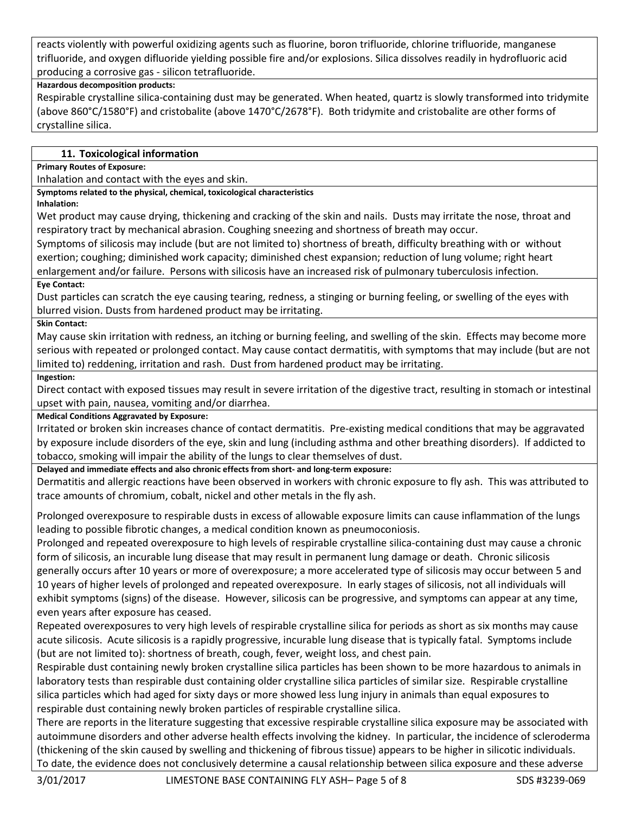reacts violently with powerful oxidizing agents such as fluorine, boron trifluoride, chlorine trifluoride, manganese trifluoride, and oxygen difluoride yielding possible fire and/or explosions. Silica dissolves readily in hydrofluoric acid producing a corrosive gas - silicon tetrafluoride.

# **Hazardous decomposition products:**

Respirable crystalline silica-containing dust may be generated. When heated, quartz is slowly transformed into tridymite (above 860°C/1580°F) and cristobalite (above 1470°C/2678°F). Both tridymite and cristobalite are other forms of crystalline silica.

# **11. Toxicological information**

**Primary Routes of Exposure:**

Inhalation and contact with the eyes and skin.

**Symptoms related to the physical, chemical, toxicological characteristics**

**Inhalation:**

Wet product may cause drying, thickening and cracking of the skin and nails. Dusts may irritate the nose, throat and respiratory tract by mechanical abrasion. Coughing sneezing and shortness of breath may occur.

Symptoms of silicosis may include (but are not limited to) shortness of breath, difficulty breathing with or without exertion; coughing; diminished work capacity; diminished chest expansion; reduction of lung volume; right heart enlargement and/or failure. Persons with silicosis have an increased risk of pulmonary tuberculosis infection.

# **Eye Contact:**

Dust particles can scratch the eye causing tearing, redness, a stinging or burning feeling, or swelling of the eyes with blurred vision. Dusts from hardened product may be irritating.

## **Skin Contact:**

May cause skin irritation with redness, an itching or burning feeling, and swelling of the skin. Effects may become more serious with repeated or prolonged contact. May cause contact dermatitis, with symptoms that may include (but are not limited to) reddening, irritation and rash. Dust from hardened product may be irritating.

## **Ingestion:**

Direct contact with exposed tissues may result in severe irritation of the digestive tract, resulting in stomach or intestinal upset with pain, nausea, vomiting and/or diarrhea.

**Medical Conditions Aggravated by Exposure:**

Irritated or broken skin increases chance of contact dermatitis. Pre-existing medical conditions that may be aggravated by exposure include disorders of the eye, skin and lung (including asthma and other breathing disorders). If addicted to tobacco, smoking will impair the ability of the lungs to clear themselves of dust.

**Delayed and immediate effects and also chronic effects from short- and long-term exposure:**

Dermatitis and allergic reactions have been observed in workers with chronic exposure to fly ash. This was attributed to trace amounts of chromium, cobalt, nickel and other metals in the fly ash.

Prolonged overexposure to respirable dusts in excess of allowable exposure limits can cause inflammation of the lungs leading to possible fibrotic changes, a medical condition known as pneumoconiosis.

Prolonged and repeated overexposure to high levels of respirable crystalline silica-containing dust may cause a chronic form of silicosis, an incurable lung disease that may result in permanent lung damage or death. Chronic silicosis generally occurs after 10 years or more of overexposure; a more accelerated type of silicosis may occur between 5 and 10 years of higher levels of prolonged and repeated overexposure. In early stages of silicosis, not all individuals will exhibit symptoms (signs) of the disease. However, silicosis can be progressive, and symptoms can appear at any time, even years after exposure has ceased.

Repeated overexposures to very high levels of respirable crystalline silica for periods as short as six months may cause acute silicosis. Acute silicosis is a rapidly progressive, incurable lung disease that is typically fatal. Symptoms include (but are not limited to): shortness of breath, cough, fever, weight loss, and chest pain.

Respirable dust containing newly broken crystalline silica particles has been shown to be more hazardous to animals in laboratory tests than respirable dust containing older crystalline silica particles of similar size. Respirable crystalline silica particles which had aged for sixty days or more showed less lung injury in animals than equal exposures to respirable dust containing newly broken particles of respirable crystalline silica.

There are reports in the literature suggesting that excessive respirable crystalline silica exposure may be associated with autoimmune disorders and other adverse health effects involving the kidney. In particular, the incidence of scleroderma (thickening of the skin caused by swelling and thickening of fibrous tissue) appears to be higher in silicotic individuals. To date, the evidence does not conclusively determine a causal relationship between silica exposure and these adverse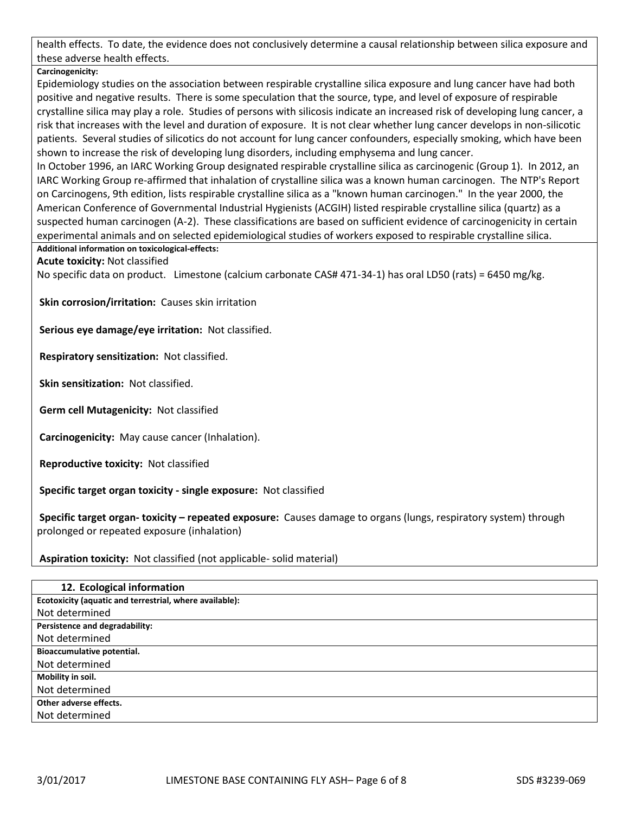health effects. To date, the evidence does not conclusively determine a causal relationship between silica exposure and these adverse health effects.

**Carcinogenicity:**

Epidemiology studies on the association between respirable crystalline silica exposure and lung cancer have had both positive and negative results. There is some speculation that the source, type, and level of exposure of respirable crystalline silica may play a role. Studies of persons with silicosis indicate an increased risk of developing lung cancer, a risk that increases with the level and duration of exposure. It is not clear whether lung cancer develops in non-silicotic patients. Several studies of silicotics do not account for lung cancer confounders, especially smoking, which have been shown to increase the risk of developing lung disorders, including emphysema and lung cancer.

In October 1996, an IARC Working Group designated respirable crystalline silica as carcinogenic (Group 1). In 2012, an IARC Working Group re-affirmed that inhalation of crystalline silica was a known human carcinogen. The NTP's Report on Carcinogens, 9th edition, lists respirable crystalline silica as a "known human carcinogen." In the year 2000, the American Conference of Governmental Industrial Hygienists (ACGIH) listed respirable crystalline silica (quartz) as a suspected human carcinogen (A-2). These classifications are based on sufficient evidence of carcinogenicity in certain experimental animals and on selected epidemiological studies of workers exposed to respirable crystalline silica.

**Additional information on toxicological-effects:**

**Acute toxicity:** Not classified

No specific data on product. Limestone (calcium carbonate CAS# 471-34-1) has oral LD50 (rats) = 6450 mg/kg.

**Skin corrosion/irritation:** Causes skin irritation

**Serious eye damage/eye irritation:** Not classified.

**Respiratory sensitization:** Not classified.

**Skin sensitization:** Not classified.

**Germ cell Mutagenicity:** Not classified

**Carcinogenicity:** May cause cancer (Inhalation).

**Reproductive toxicity:** Not classified

**Specific target organ toxicity - single exposure:** Not classified

**Specific target organ- toxicity – repeated exposure:** Causes damage to organs (lungs, respiratory system) through prolonged or repeated exposure (inhalation)

**Aspiration toxicity:** Not classified (not applicable- solid material)

| 12. Ecological information                              |
|---------------------------------------------------------|
| Ecotoxicity (aquatic and terrestrial, where available): |
| Not determined                                          |
| Persistence and degradability:                          |
| Not determined                                          |
| <b>Bioaccumulative potential.</b>                       |
| Not determined                                          |
| Mobility in soil.                                       |
| Not determined                                          |
| Other adverse effects.                                  |
| Not determined                                          |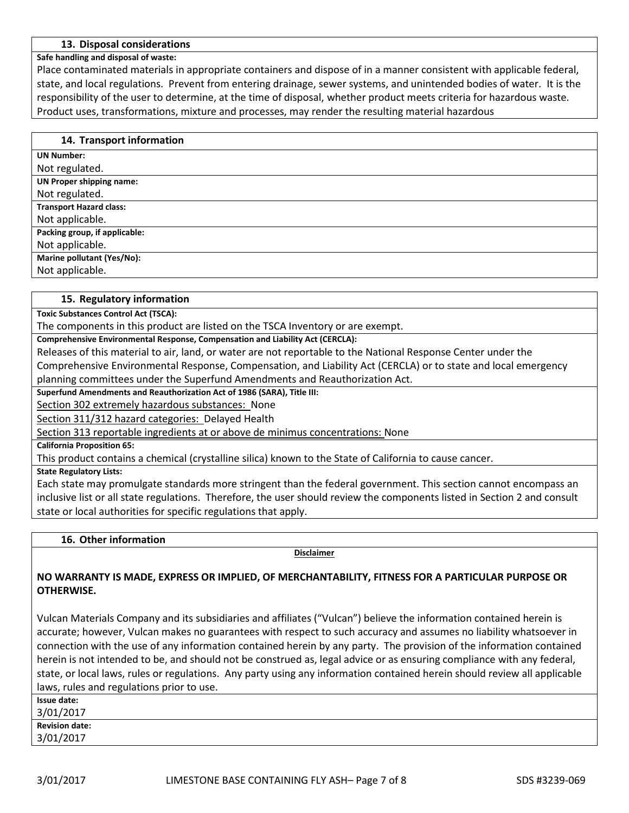## **13. Disposal considerations**

### **Safe handling and disposal of waste:**

Place contaminated materials in appropriate containers and dispose of in a manner consistent with applicable federal, state, and local regulations. Prevent from entering drainage, sewer systems, and unintended bodies of water. It is the responsibility of the user to determine, at the time of disposal, whether product meets criteria for hazardous waste. Product uses, transformations, mixture and processes, may render the resulting material hazardous

| 14. Transport information       |
|---------------------------------|
| <b>UN Number:</b>               |
| Not regulated.                  |
| <b>UN Proper shipping name:</b> |
| Not regulated.                  |
| <b>Transport Hazard class:</b>  |
| Not applicable.                 |
| Packing group, if applicable:   |
| Not applicable.                 |
| Marine pollutant (Yes/No):      |
| Not applicable.                 |

### **15. Regulatory information**

**Toxic Substances Control Act (TSCA):**

The components in this product are listed on the TSCA Inventory or are exempt.

**Comprehensive Environmental Response, Compensation and Liability Act (CERCLA):**

Releases of this material to air, land, or water are not reportable to the National Response Center under the

Comprehensive Environmental Response, Compensation, and Liability Act (CERCLA) or to state and local emergency planning committees under the Superfund Amendments and Reauthorization Act.

**Superfund Amendments and Reauthorization Act of 1986 (SARA), Title III:**

Section 302 extremely hazardous substances: None

Section 311/312 hazard categories: Delayed Health

Section 313 reportable ingredients at or above de minimus concentrations: None

**California Proposition 65:**

This product contains a chemical (crystalline silica) known to the State of California to cause cancer.

**State Regulatory Lists:**

Each state may promulgate standards more stringent than the federal government. This section cannot encompass an inclusive list or all state regulations. Therefore, the user should review the components listed in Section 2 and consult state or local authorities for specific regulations that apply.

**16. Other information**

**Disclaimer**

# **NO WARRANTY IS MADE, EXPRESS OR IMPLIED, OF MERCHANTABILITY, FITNESS FOR A PARTICULAR PURPOSE OR OTHERWISE.**

Vulcan Materials Company and its subsidiaries and affiliates ("Vulcan") believe the information contained herein is accurate; however, Vulcan makes no guarantees with respect to such accuracy and assumes no liability whatsoever in connection with the use of any information contained herein by any party. The provision of the information contained herein is not intended to be, and should not be construed as, legal advice or as ensuring compliance with any federal, state, or local laws, rules or regulations. Any party using any information contained herein should review all applicable laws, rules and regulations prior to use.

| Issue date:           |  |
|-----------------------|--|
| 3/01/2017             |  |
| <b>Revision date:</b> |  |
| 3/01/2017             |  |
|                       |  |